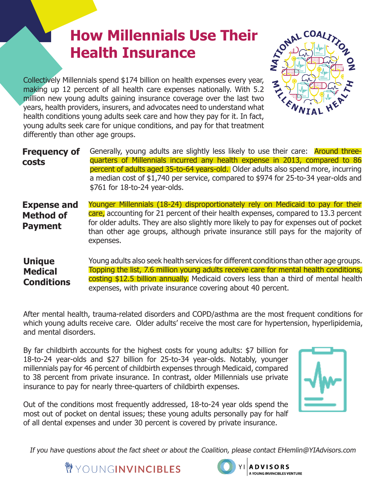## **How Millennials Use Their Health Insurance**

COLLECT MINIMED COLLECT THE THE COLLECT THE THE COLLECT THE COLLECT THE COLLECT THE COLLECT THE COLLECT THE COLLECT THE COLLECT THE COLLECT THE COLLECT THE COLLECT THE COLLECT THE COLLECT THE COLLECT THE COLLECT THE COLLEC making up 12 percent of all health care expenses nationally. With 5.2 million new young adults gaining insurance coverage over the last two years, health providers, insurers, and advocates need to understand what health conditions young adults seek care and how they pay for it. In fact, young adults seek care for unique conditions, and pay for that treatment differently than other age groups.

**Frequency of costs** Generally, young adults are slightly less likely to use their care: **Around three**quarters of Millennials incurred any health expense in 2013, compared to 86 percent of adults aged 35-to-64 years-old. Older adults also spend more, incurring a median cost of \$1,740 per service, compared to \$974 for 25-to-34 year-olds and \$761 for 18-to-24 year-olds.

**Expense and Method of Payment**  Younger Millennials (18-24) disproportionately rely on Medicaid to pay for their care, accounting for 21 percent of their health expenses, compared to 13.3 percent for older adults. They are also slightly more likely to pay for expenses out of pocket than other age groups, although private insurance still pays for the majority of expenses.

Young adults also seek health services for different conditions than other age groups. Topping the list, 7.6 million young adults receive care for mental health conditions, costing \$12.5 billion annually. Medicaid covers less than a third of mental health expenses, with private insurance covering about 40 percent. **Unique Medical Conditions** 

After mental health, trauma-related disorders and COPD/asthma are the most frequent conditions for which young adults receive care. Older adults' receive the most care for hypertension, hyperlipidemia, and mental disorders.

By far childbirth accounts for the highest costs for young adults: \$7 billion for 18-to-24 year-olds and \$27 billion for 25-to-34 year-olds. Notably, younger millennials pay for 46 percent of childbirth expenses through Medicaid, compared to 38 percent from private insurance. In contrast, older Millennials use private insurance to pay for nearly three-quarters of childbirth expenses.

Out of the conditions most frequently addressed, 18-to-24 year olds spend the most out of pocket on dental issues; these young adults personally pay for half of all dental expenses and under 30 percent is covered by private insurance.



If you have questions about the fact sheet or about the Coalition, please contact EHemlin@YIAdvisors.com





**ADVISORS** A YOUNG INVINCIBLES VENTURE